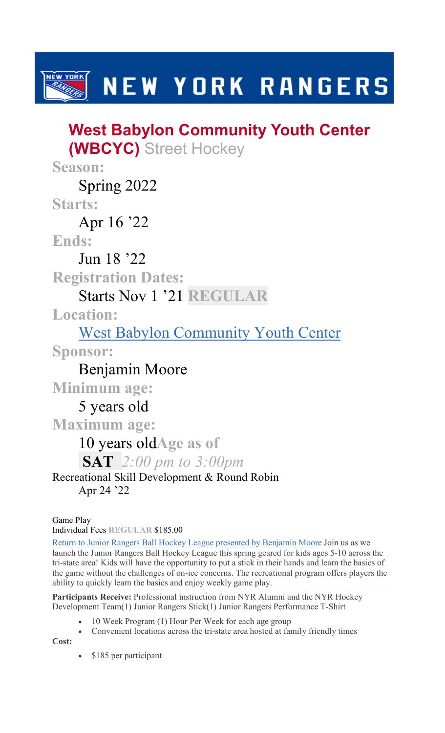**NEW YORK** NEW YORK RANGERS

# West Babylon Community Youth Center (WBCYC) Street Hockey

Season:

Spring 2022

Starts:

Apr 16 '22

Ends:

Jun 18 '22

Registration Dates:

### Starts Nov 1 '21 REGULAR

Location:

West Babylon Community Youth Center

Sponsor:

Benjamin Moore

Minimum age:

5 years old

Maximum age:

## 10 years oldAge as of

**SAT** 2:00 pm to 3:00pm

#### Recreational Skill Development & Round Robin Apr 24 '22

### Game Play

Individual Fees REGULAR \$185.00

Return to Junior Rangers Ball Hockey League presented by Benjamin Moore Join us as we launch the Junior Rangers Ball Hockey League this spring geared for kids ages 5-10 across the tri-state area! Kids will have the opportunity to put a stick in their hands and learn the basics of the game without the challenges of on-ice concerns. The recreational program offers players the ability to quickly learn the basics and enjoy weekly game play.

Participants Receive: Professional instruction from NYR Alumni and the NYR Hockey Development Team(1) Junior Rangers Stick(1) Junior Rangers Performance T-Shirt

- 10 Week Program (1) Hour Per Week for each age group
- Convenient locations across the tri-state area hosted at family friendly times

Cost:

• \$185 per participant